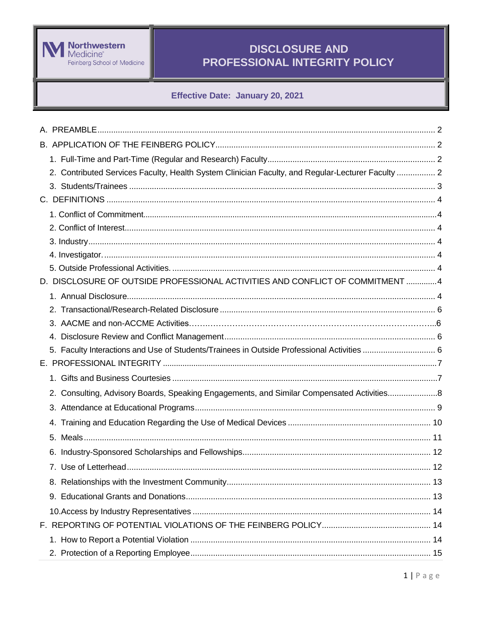

## Effective Date: January 20, 2021

| 2. Contributed Services Faculty, Health System Clinician Faculty, and Regular-Lecturer Faculty  2 |  |
|---------------------------------------------------------------------------------------------------|--|
|                                                                                                   |  |
|                                                                                                   |  |
|                                                                                                   |  |
|                                                                                                   |  |
|                                                                                                   |  |
|                                                                                                   |  |
|                                                                                                   |  |
| D. DISCLOSURE OF OUTSIDE PROFESSIONAL ACTIVITIES AND CONFLICT OF COMMITMENT  4                    |  |
|                                                                                                   |  |
|                                                                                                   |  |
|                                                                                                   |  |
|                                                                                                   |  |
| 5. Faculty Interactions and Use of Students/Trainees in Outside Professional Activities  6        |  |
|                                                                                                   |  |
|                                                                                                   |  |
| 2. Consulting, Advisory Boards, Speaking Engagements, and Similar Compensated Activities8         |  |
|                                                                                                   |  |
|                                                                                                   |  |
|                                                                                                   |  |
|                                                                                                   |  |
|                                                                                                   |  |
|                                                                                                   |  |
|                                                                                                   |  |
|                                                                                                   |  |
|                                                                                                   |  |
|                                                                                                   |  |
|                                                                                                   |  |
|                                                                                                   |  |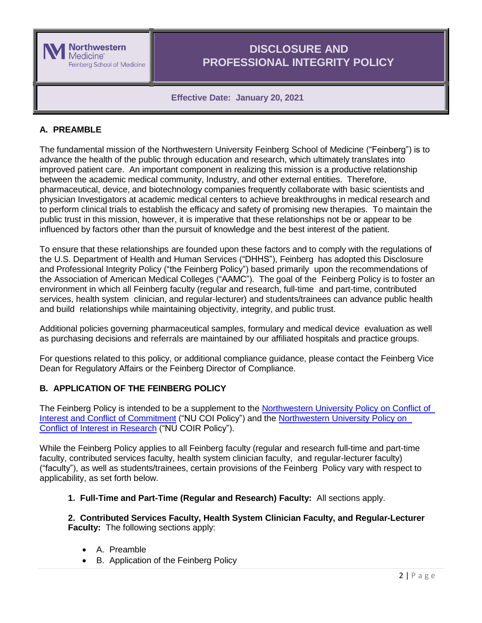

## **Effective Date: January 20, 2021**

## <span id="page-1-0"></span>**A. PREAMBLE**

The fundamental mission of the Northwestern University Feinberg School of Medicine ("Feinberg") is to advance the health of the public through education and research, which ultimately translates into improved patient care. An important component in realizing this mission is a productive relationship between the academic medical community, Industry, and other external entities. Therefore, pharmaceutical, device, and biotechnology companies frequently collaborate with basic scientists and physician Investigators at academic medical centers to achieve breakthroughs in medical research and to perform clinical trials to establish the efficacy and safety of promising new therapies. To maintain the public trust in this mission, however, it is imperative that these relationships not be or appear to be influenced by factors other than the pursuit of knowledge and the best interest of the patient.

To ensure that these relationships are founded upon these factors and to comply with the regulations of the U.S. Department of Health and Human Services ("DHHS"), Feinberg has adopted this Disclosure and Professional Integrity Policy ("the Feinberg Policy") based primarily upon the recommendations of the Association of American Medical Colleges ("AAMC"). The goal of the Feinberg Policy is to foster an environment in which all Feinberg faculty (regular and research, full-time and part-time, contributed services, health system clinician, and regular-lecturer) and students/trainees can advance public health and build relationships while maintaining objectivity, integrity, and public trust.

Additional policies governing pharmaceutical samples, formulary and medical device evaluation as well as purchasing decisions and referrals are maintained by our affiliated hospitals and practice groups.

For questions related to this policy, or additional compliance guidance, please contact the Feinberg Vice Dean for Regulatory Affairs or the Feinberg Director of Compliance.

## <span id="page-1-1"></span>**B. APPLICATION OF THE FEINBERG POLICY**

The Feinberg Policy is intended to be a supplement to the [Northwestern](http://www.northwestern.edu/coi/policy/core_coi_policy.pdf) University Policy on Conflict of Interest and Conflict of [Commitment](http://www.northwestern.edu/coi/policy/core_coi_policy.pdf) ("NU COI Policy") and the [Northwestern](http://www.northwestern.edu/coi/policy/research_policy.pdf) University Policy on [Conflict of](http://www.northwestern.edu/coi/policy/research_policy.pdf) Interest in Research ("NU COIR Policy").

While the Feinberg Policy applies to all Feinberg faculty (regular and research full-time and part-time faculty, contributed services faculty, health system clinician faculty, and regular-lecturer faculty) ("faculty"), as well as students/trainees, certain provisions of the Feinberg Policy vary with respect to applicability, as set forth below.

**1. Full-Time and Part-Time (Regular and Research) Faculty:** All sections apply.

**2. Contributed Services Faculty, Health System Clinician Faculty, and Regular-Lecturer Faculty:** The following sections apply:

- A. Preamble
- B. Application of the Feinberg Policy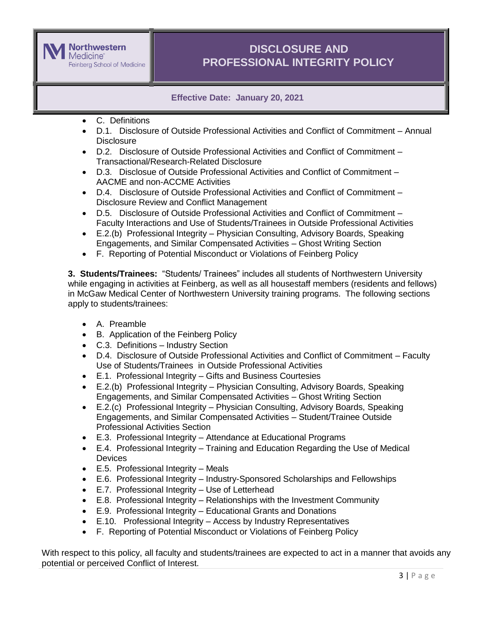

**Effective Date: January 20, 2021**

- C. Definitions
- D.1. Disclosure of Outside Professional Activities and Conflict of Commitment Annual **Disclosure**
- D.2. Disclosure of Outside Professional Activities and Conflict of Commitment Transactional/Research-Related Disclosure
- D.3. Disclosue of Outside Professional Activities and Conflict of Commitment AACME and non-ACCME Activities
- D.4. Disclosure of Outside Professional Activities and Conflict of Commitment Disclosure Review and Conflict Management
- D.5. Disclosure of Outside Professional Activities and Conflict of Commitment Faculty Interactions and Use of Students/Trainees in Outside Professional Activities
- E.2.(b) Professional Integrity Physician Consulting, Advisory Boards, Speaking Engagements, and Similar Compensated Activities – Ghost Writing Section
- F. Reporting of Potential Misconduct or Violations of Feinberg Policy

**3. Students/Trainees:** "Students/ Trainees" includes all students of Northwestern University while engaging in activities at Feinberg, as well as all housestaff members (residents and fellows) in McGaw Medical Center of Northwestern University training programs. The following sections apply to students/trainees:

- A. Preamble
- B. Application of the Feinberg Policy
- C.3. Definitions Industry Section
- D.4. Disclosure of Outside Professional Activities and Conflict of Commitment Faculty Use of Students/Trainees in Outside Professional Activities
- E.1. Professional Integrity Gifts and Business Courtesies
- E.2.(b) Professional Integrity Physician Consulting, Advisory Boards, Speaking Engagements, and Similar Compensated Activities – Ghost Writing Section
- E.2.(c) Professional Integrity Physician Consulting, Advisory Boards, Speaking Engagements, and Similar Compensated Activities – Student/Trainee Outside Professional Activities Section
- E.3. Professional Integrity Attendance at Educational Programs
- E.4. Professional Integrity Training and Education Regarding the Use of Medical **Devices**
- E.5. Professional Integrity Meals
- E.6. Professional Integrity Industry-Sponsored Scholarships and Fellowships
- E.7. Professional Integrity Use of Letterhead
- E.8. Professional Integrity Relationships with the Investment Community
- E.9. Professional Integrity Educational Grants and Donations
- E.10. Professional Integrity Access by Industry Representatives
- F. Reporting of Potential Misconduct or Violations of Feinberg Policy

With respect to this policy, all faculty and students/trainees are expected to act in a manner that avoids any potential or perceived Conflict of Interest.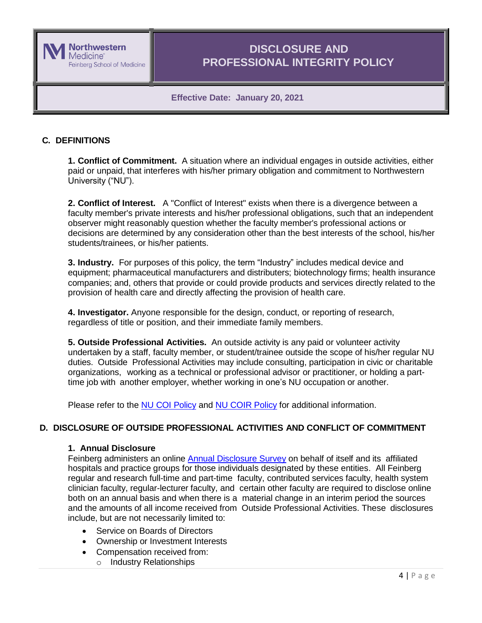

## **Effective Date: January 20, 2021**

## <span id="page-3-0"></span>**C. DEFINITIONS**

**1. Conflict of Commitment.** A situation where an individual engages in outside activities, either paid or unpaid, that interferes with his/her primary obligation and commitment to Northwestern University ("NU").

**2. Conflict of Interest.** A "Conflict of Interest" exists when there is a divergence between a faculty member's private interests and his/her professional obligations, such that an independent observer might reasonably question whether the faculty member's professional actions or decisions are determined by any consideration other than the best interests of the school, his/her students/trainees, or his/her patients.

**3. Industry.** For purposes of this policy, the term "Industry" includes medical device and equipment; pharmaceutical manufacturers and distributers; biotechnology firms; health insurance companies; and, others that provide or could provide products and services directly related to the provision of health care and directly affecting the provision of health care.

**4. Investigator.** Anyone responsible for the design, conduct, or reporting of research, regardless of title or position, and their immediate family members.

**5. Outside Professional Activities.** An outside activity is any paid or volunteer activity undertaken by a staff, faculty member, or student/trainee outside the scope of his/her regular NU duties. Outside Professional Activities may include consulting, participation in civic or charitable organizations, working as a technical or professional advisor or practitioner, or holding a parttime job with another employer, whether working in one's NU occupation or another.

Please refer to the NU COI [Policy](http://www.northwestern.edu/coi/policy/core_coi_policy.pdf) and NU COIR [Policy](http://www.northwestern.edu/coi/policy/research_policy.pdf) for additional information.

## <span id="page-3-2"></span><span id="page-3-1"></span>**D. DISCLOSURE OF OUTSIDE PROFESSIONAL ACTIVITIES AND CONFLICT OF COMMITMENT**

#### **1. Annual Disclosure**

Feinberg administers an online Annual [Disclosure](http://www.feinberg.northwestern.edu/compliance/annual_disclosure_survey/index.html) Survey on behalf of itself and its affiliated hospitals and practice groups for those individuals designated by these entities. All Feinberg regular and research full-time and part-time faculty, contributed services faculty, health system clinician faculty, regular-lecturer faculty, and certain other faculty are required to disclose online both on an annual basis and when there is a material change in an interim period the sources and the amounts of all income received from Outside Professional Activities. These disclosures include, but are not necessarily limited to:

- Service on Boards of Directors
- Ownership or Investment Interests
- Compensation received from:
	- o Industry Relationships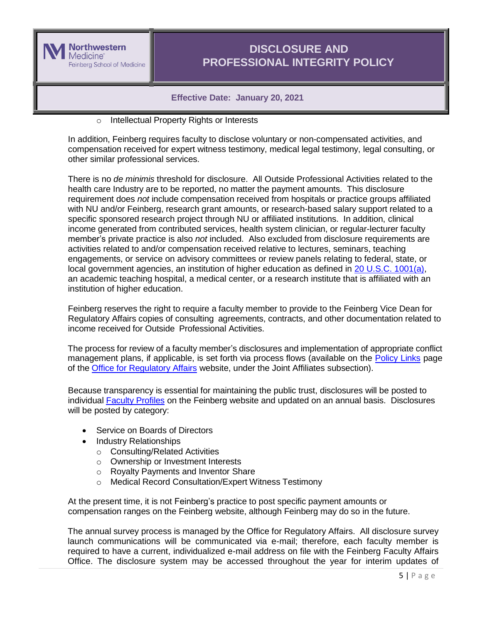

### **Effective Date: January 20, 2021**

o Intellectual Property Rights or Interests

In addition, Feinberg requires faculty to disclose voluntary or non-compensated activities, and compensation received for expert witness testimony, medical legal testimony, legal consulting, or other similar professional services.

There is no *de minimis* threshold for disclosure. All Outside Professional Activities related to the health care Industry are to be reported, no matter the payment amounts. This disclosure requirement does *not* include compensation received from hospitals or practice groups affiliated with NU and/or Feinberg, research grant amounts, or research-based salary support related to a specific sponsored research project through NU or affiliated institutions. In addition, clinical income generated from contributed services, health system clinician, or regular-lecturer faculty member's private practice is also *not* included. Also excluded from disclosure requirements are activities related to and/or compensation received relative to lectures, seminars, teaching engagements, or service on advisory committees or review panels relating to federal, state, or local government agencies, an institution of higher education as defined in [20 U.S.C. 1001\(a\),](https://www.gpo.gov/fdsys/pkg/USCODE-2011-title20/html/USCODE-2011-title20-chap28-subchapI-partA-sec1001.htm) an academic teaching hospital, a medical center, or a research institute that is affiliated with an institution of higher education.

Feinberg reserves the right to require a faculty member to provide to the Feinberg Vice Dean for Regulatory Affairs copies of consulting agreements, contracts, and other documentation related to income received for Outside Professional Activities.

The process for review of a faculty member's disclosures and implementation of appropriate conflict management plans, if applicable, is set forth via process flows (available on the [Policy Links](http://www.feinberg.northwestern.edu/compliance/resources/coi-and-prof-integrity/coi-policy-page.html) page of the Office for [Regulatory](http://www.feinberg.northwestern.edu/compliance/) Affairs website, under the Joint Affiliates subsection).

Because transparency is essential for maintaining the public trust, disclosures will be posted to individual Faculty [Profiles](http://www.feinberg.northwestern.edu/faculty-profiles/) on the Feinberg website and updated on an annual basis. Disclosures will be posted by category:

- Service on Boards of Directors
- Industry Relationships
	- o Consulting/Related Activities
	- o Ownership or Investment Interests
	- o Royalty Payments and Inventor Share
	- o Medical Record Consultation/Expert Witness Testimony

At the present time, it is not Feinberg's practice to post specific payment amounts or compensation ranges on the Feinberg website, although Feinberg may do so in the future.

The annual survey process is managed by the Office for Regulatory Affairs. All disclosure survey launch communications will be communicated via e-mail; therefore, each faculty member is required to have a current, individualized e-mail address on file with the Feinberg Faculty Affairs Office. The disclosure system may be accessed throughout the year for interim updates of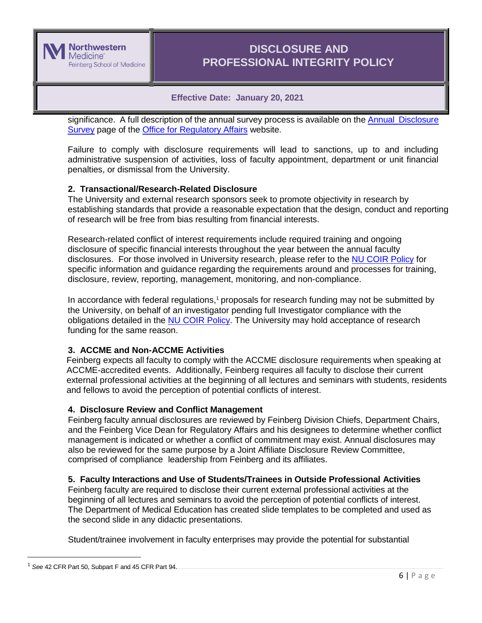

## **Effective Date: January 20, 2021**

significance. A full description of the annual survey process is available on the Annual [Disclosure](http://www.feinberg.northwestern.edu/compliance/annual_disclosure_survey/index.html) [Survey](http://www.feinberg.northwestern.edu/compliance/annual_disclosure_survey/index.html) page of the Office for [Regulatory](http://www.feinberg.northwestern.edu/compliance/index.html) Affairs website.

Failure to comply with disclosure requirements will lead to sanctions, up to and including administrative suspension of activities, loss of faculty appointment, department or unit financial penalties, or dismissal from the University.

## <span id="page-5-0"></span>**2. Transactional/Research-Related Disclosure**

The University and external research sponsors seek to promote objectivity in research by establishing standards that provide a reasonable expectation that the design, conduct and reporting of research will be free from bias resulting from financial interests.

Research-related conflict of interest requirements include required training and ongoing disclosure of specific financial interests throughout the year between the annual faculty disclosures. For those involved in University research, please refer to the [NU COIR Policy](http://www.northwestern.edu/coi/policy/research_policy.pdf) for specific information and guidance regarding the requirements around and processes for training, disclosure, review, reporting, management, monitoring, and non-compliance.

In accordance with federal regulations, $1$  proposals for research funding may not be submitted by the University, on behalf of an investigator pending full Investigator compliance with the obligations detailed in the NU COIR [Policy.](http://www.northwestern.edu/coi/policy/research_policy.pdf) The University may hold acceptance of research funding for the same reason.

## **3. ACCME and Non-ACCME Activities**

Feinberg expects all faculty to comply with the ACCME disclosure requirements when speaking at ACCME-accredited events. Additionally, Feinberg requires all faculty to disclose their current external professional activities at the beginning of all lectures and seminars with students, residents and fellows to avoid the perception of potential conflicts of interest.

## **4. Disclosure Review and Conflict Management**

Feinberg faculty annual disclosures are reviewed by Feinberg Division Chiefs, Department Chairs, and the Feinberg Vice Dean for Regulatory Affairs and his designees to determine whether conflict management is indicated or whether a conflict of commitment may exist. Annual disclosures may also be reviewed for the same purpose by a Joint Affiliate Disclosure Review Committee, comprised of compliance leadership from Feinberg and its affiliates.

## <span id="page-5-1"></span>**5. Faculty Interactions and Use of Students/Trainees in Outside Professional Activities**

Feinberg faculty are required to disclose their current external professional activities at the beginning of all lectures and seminars to avoid the perception of potential conflicts of interest. The Department of Medical Education has created slide templates to be completed and used as the second slide in any didactic presentations.

Student/trainee involvement in faculty enterprises may provide the potential for substantial

 $\overline{a}$ 

<sup>1</sup> *See* 42 CFR Part 50, Subpart F and 45 CFR Part 94.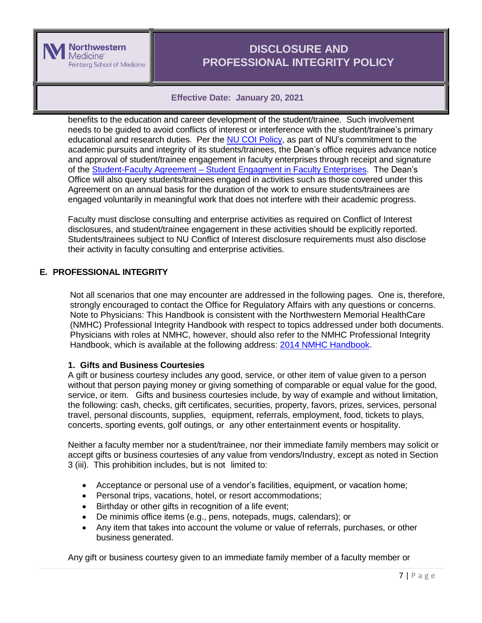

## **Effective Date: January 20, 2021**

benefits to the education and career development of the student/trainee. Such involvement needs to be guided to avoid conflicts of interest or interference with the student/trainee's primary educational and research duties. Per the NU COI [Policy,](http://www.northwestern.edu/coi/policy/core_coi_policy.pdf) as part of NU's commitment to the academic pursuits and integrity of its students/trainees, the Dean's office requires advance notice and approval of student/trainee engagement in faculty enterprises through receipt and signature of the Student-Faculty Agreement – [Student Engagment in Faculty Enterprises.](http://www.northwestern.edu/coi/policy/) The Dean's Office will also query students/trainees engaged in activities such as those covered under this Agreement on an annual basis for the duration of the work to ensure students/trainees are engaged voluntarily in meaningful work that does not interfere with their academic progress.

Faculty must disclose consulting and enterprise activities as required on Conflict of Interest disclosures, and student/trainee engagement in these activities should be explicitly reported. Students/trainees subject to NU Conflict of Interest disclosure requirements must also disclose their activity in faculty consulting and enterprise activities.

## <span id="page-6-0"></span>**E. PROFESSIONAL INTEGRITY**

Not all scenarios that one may encounter are addressed in the following pages. One is, therefore, strongly encouraged to contact the Office for Regulatory Affairs with any questions or concerns. Note to Physicians: This Handbook is consistent with the Northwestern Memorial HealthCare (NMHC) Professional Integrity Handbook with respect to topics addressed under both documents. Physicians with roles at NMHC, however, should also refer to the NMHC Professional Integrity Handbook, which is available at the following address: 2014 [NMHC Handbook.](http://www.feinberg.northwestern.edu/compliance/documents/nmg14_integrated_handbook.pdf)

## **1. Gifts and Business Courtesies**

A gift or business courtesy includes any good, service, or other item of value given to a person without that person paying money or giving something of comparable or equal value for the good, service, or item. Gifts and business courtesies include, by way of example and without limitation, the following: cash, checks, gift certificates, securities, property, favors, prizes, services, personal travel, personal discounts, supplies, equipment, referrals, employment, food, tickets to plays, concerts, sporting events, golf outings, or any other entertainment events or hospitality.

Neither a faculty member nor a student/trainee, nor their immediate family members may solicit or accept gifts or business courtesies of any value from vendors/Industry, except as noted in Section 3 (iii). This prohibition includes, but is not limited to:

- Acceptance or personal use of a vendor's facilities, equipment, or vacation home;
- Personal trips, vacations, hotel, or resort accommodations;
- Birthday or other gifts in recognition of a life event;
- De minimis office items (e.g., pens, notepads, mugs, calendars); or
- Any item that takes into account the volume or value of referrals, purchases, or other business generated.

Any gift or business courtesy given to an immediate family member of a faculty member or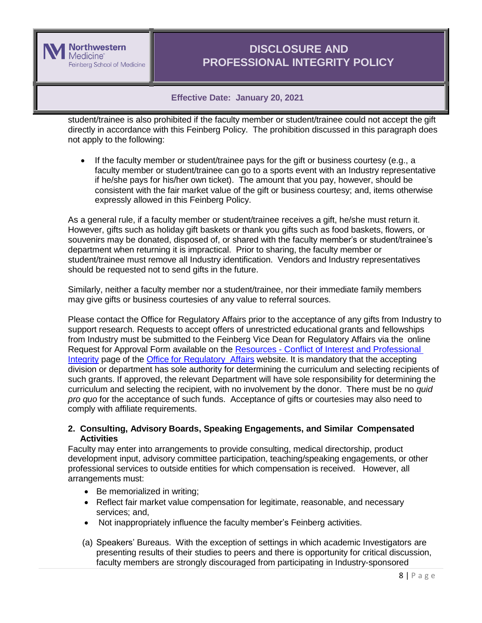

## **Effective Date: January 20, 2021**

student/trainee is also prohibited if the faculty member or student/trainee could not accept the gift directly in accordance with this Feinberg Policy. The prohibition discussed in this paragraph does not apply to the following:

 If the faculty member or student/trainee pays for the gift or business courtesy (e.g., a faculty member or student/trainee can go to a sports event with an Industry representative if he/she pays for his/her own ticket). The amount that you pay, however, should be consistent with the fair market value of the gift or business courtesy; and, items otherwise expressly allowed in this Feinberg Policy.

As a general rule, if a faculty member or student/trainee receives a gift, he/she must return it. However, gifts such as holiday gift baskets or thank you gifts such as food baskets, flowers, or souvenirs may be donated, disposed of, or shared with the faculty member's or student/trainee's department when returning it is impractical. Prior to sharing, the faculty member or student/trainee must remove all Industry identification. Vendors and Industry representatives should be requested not to send gifts in the future.

Similarly, neither a faculty member nor a student/trainee, nor their immediate family members may give gifts or business courtesies of any value to referral sources.

Please contact the Office for Regulatory Affairs prior to the acceptance of any gifts from Industry to support research. Requests to accept offers of unrestricted educational grants and fellowships from Industry must be submitted to the Feinberg Vice Dean for Regulatory Affairs via the online Request for Approval Form available on the Resources - Conflict of Interest and Professional [Integrity](http://www.feinberg.northwestern.edu/compliance/resources/coi-and-prof-integrity/index.html) page of the Office for [Regulatory](http://www.feinberg.northwestern.edu/compliance/index.html) Affairs website. It is mandatory that the accepting division or department has sole authority for determining the curriculum and selecting recipients of such grants. If approved, the relevant Department will have sole responsibility for determining the curriculum and selecting the recipient, with no involvement by the donor. There must be no *quid pro quo* for the acceptance of such funds. Acceptance of gifts or courtesies may also need to comply with affiliate requirements.

#### **2. Consulting, Advisory Boards, Speaking Engagements, and Similar Compensated Activities**

Faculty may enter into arrangements to provide consulting, medical directorship, product development input, advisory committee participation, teaching/speaking engagements, or other professional services to outside entities for which compensation is received. However, all arrangements must:

- Be memorialized in writing;
- Reflect fair market value compensation for legitimate, reasonable, and necessary services; and,
- Not inappropriately influence the faculty member's Feinberg activities.
- (a) Speakers' Bureaus. With the exception of settings in which academic Investigators are presenting results of their studies to peers and there is opportunity for critical discussion, faculty members are strongly discouraged from participating in Industry-sponsored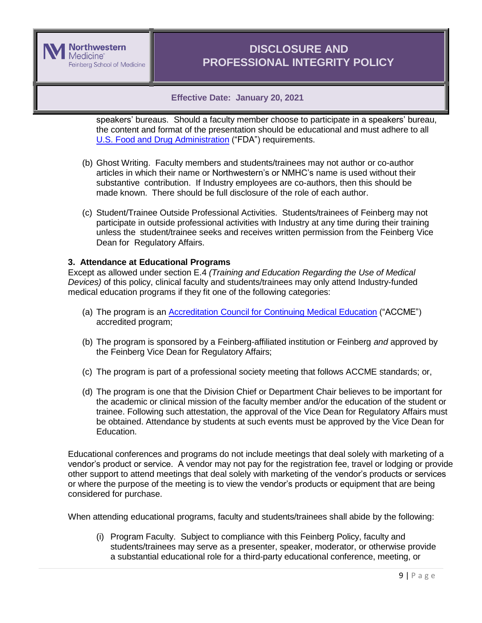

## **Effective Date: January 20, 2021**

speakers' bureaus. Should a faculty member choose to participate in a speakers' bureau, the content and format of the presentation should be educational and must adhere to all U.S. Food and Drug [Administration](http://www.fda.gov/) ("FDA") requirements.

- (b) Ghost Writing. Faculty members and students/trainees may not author or co-author articles in which their name or Northwestern's or NMHC's name is used without their substantive contribution. If Industry employees are co-authors, then this should be made known. There should be full disclosure of the role of each author.
- (c) Student/Trainee Outside Professional Activities. Students/trainees of Feinberg may not participate in outside professional activities with Industry at any time during their training unless the student/trainee seeks and receives written permission from the Feinberg Vice Dean for Regulatory Affairs.

#### **3. Attendance at Educational Programs**

Except as allowed under section E.4 *(Training and Education Regarding the Use of Medical Devices)* of this policy, clinical faculty and students/trainees may only attend Industry-funded medical education programs if they fit one of the following categories:

- (a) The program is an Accreditation Council for Continuing [Medical Education](http://www.accme.org/) ("ACCME") accredited program;
- (b) The program is sponsored by a Feinberg-affiliated institution or Feinberg *and* approved by the Feinberg Vice Dean for Regulatory Affairs;
- (c) The program is part of a professional society meeting that follows ACCME standards; or,
- (d) The program is one that the Division Chief or Department Chair believes to be important for the academic or clinical mission of the faculty member and/or the education of the student or trainee. Following such attestation, the approval of the Vice Dean for Regulatory Affairs must be obtained. Attendance by students at such events must be approved by the Vice Dean for Education.

Educational conferences and programs do not include meetings that deal solely with marketing of a vendor's product or service. A vendor may not pay for the registration fee, travel or lodging or provide other support to attend meetings that deal solely with marketing of the vendor's products or services or where the purpose of the meeting is to view the vendor's products or equipment that are being considered for purchase.

When attending educational programs, faculty and students/trainees shall abide by the following:

(i) Program Faculty. Subject to compliance with this Feinberg Policy, faculty and students/trainees may serve as a presenter, speaker, moderator, or otherwise provide a substantial educational role for a third-party educational conference, meeting, or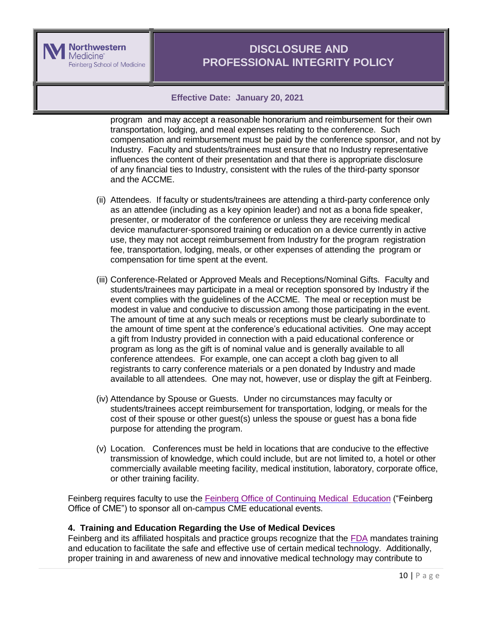

## **Effective Date: January 20, 2021**

program and may accept a reasonable honorarium and reimbursement for their own transportation, lodging, and meal expenses relating to the conference. Such compensation and reimbursement must be paid by the conference sponsor, and not by Industry. Faculty and students/trainees must ensure that no Industry representative influences the content of their presentation and that there is appropriate disclosure of any financial ties to Industry, consistent with the rules of the third-party sponsor and the ACCME.

- (ii) Attendees. If faculty or students/trainees are attending a third-party conference only as an attendee (including as a key opinion leader) and not as a bona fide speaker, presenter, or moderator of the conference or unless they are receiving medical device manufacturer-sponsored training or education on a device currently in active use, they may not accept reimbursement from Industry for the program registration fee, transportation, lodging, meals, or other expenses of attending the program or compensation for time spent at the event.
- (iii) Conference-Related or Approved Meals and Receptions/Nominal Gifts. Faculty and students/trainees may participate in a meal or reception sponsored by Industry if the event complies with the guidelines of the ACCME. The meal or reception must be modest in value and conducive to discussion among those participating in the event. The amount of time at any such meals or receptions must be clearly subordinate to the amount of time spent at the conference's educational activities. One may accept a gift from Industry provided in connection with a paid educational conference or program as long as the gift is of nominal value and is generally available to all conference attendees. For example, one can accept a cloth bag given to all registrants to carry conference materials or a pen donated by Industry and made available to all attendees. One may not, however, use or display the gift at Feinberg.
- (iv) Attendance by Spouse or Guests. Under no circumstances may faculty or students/trainees accept reimbursement for transportation, lodging, or meals for the cost of their spouse or other guest(s) unless the spouse or guest has a bona fide purpose for attending the program.
- (v) Location. Conferences must be held in locations that are conducive to the effective transmission of knowledge, which could include, but are not limited to, a hotel or other commercially available meeting facility, medical institution, laboratory, corporate office, or other training facility.

Feinberg requires faculty to use the Feinberg Office of [Continuing](http://www.cme.northwestern.edu/) Medical Education ("Feinberg Office of CME") to sponsor all on-campus CME educational events.

## **4. Training and Education Regarding the Use of Medical Devices**

Feinberg and its affiliated hospitals and practice groups recognize that the [FDA](http://www.fda.gov/) mandates training and education to facilitate the safe and effective use of certain medical technology. Additionally, proper training in and awareness of new and innovative medical technology may contribute to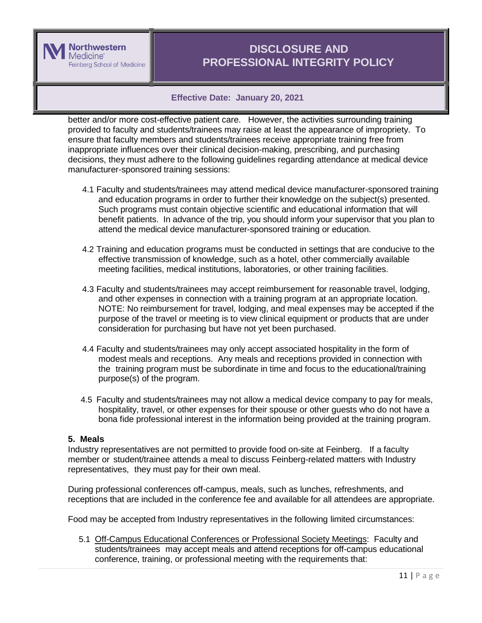

## **Effective Date: January 20, 2021**

better and/or more cost-effective patient care. However, the activities surrounding training provided to faculty and students/trainees may raise at least the appearance of impropriety. To ensure that faculty members and students/trainees receive appropriate training free from inappropriate influences over their clinical decision-making, prescribing, and purchasing decisions, they must adhere to the following guidelines regarding attendance at medical device manufacturer-sponsored training sessions:

- 4.1 Faculty and students/trainees may attend medical device manufacturer-sponsored training and education programs in order to further their knowledge on the subject(s) presented. Such programs must contain objective scientific and educational information that will benefit patients. In advance of the trip, you should inform your supervisor that you plan to attend the medical device manufacturer-sponsored training or education.
- 4.2 Training and education programs must be conducted in settings that are conducive to the effective transmission of knowledge, such as a hotel, other commercially available meeting facilities, medical institutions, laboratories, or other training facilities.
- 4.3 Faculty and students/trainees may accept reimbursement for reasonable travel, lodging, and other expenses in connection with a training program at an appropriate location. NOTE: No reimbursement for travel, lodging, and meal expenses may be accepted if the purpose of the travel or meeting is to view clinical equipment or products that are under consideration for purchasing but have not yet been purchased.
- 4.4 Faculty and students/trainees may only accept associated hospitality in the form of modest meals and receptions. Any meals and receptions provided in connection with the training program must be subordinate in time and focus to the educational/training purpose(s) of the program.
- 4.5 Faculty and students/trainees may not allow a medical device company to pay for meals, hospitality, travel, or other expenses for their spouse or other guests who do not have a bona fide professional interest in the information being provided at the training program.

#### **5. Meals**

Industry representatives are not permitted to provide food on-site at Feinberg. If a faculty member or student/trainee attends a meal to discuss Feinberg-related matters with Industry representatives, they must pay for their own meal.

During professional conferences off-campus, meals, such as lunches, refreshments, and receptions that are included in the conference fee and available for all attendees are appropriate.

Food may be accepted from Industry representatives in the following limited circumstances:

5.1 Off-Campus Educational Conferences or Professional Society Meetings: Faculty and students/trainees may accept meals and attend receptions for off-campus educational conference, training, or professional meeting with the requirements that: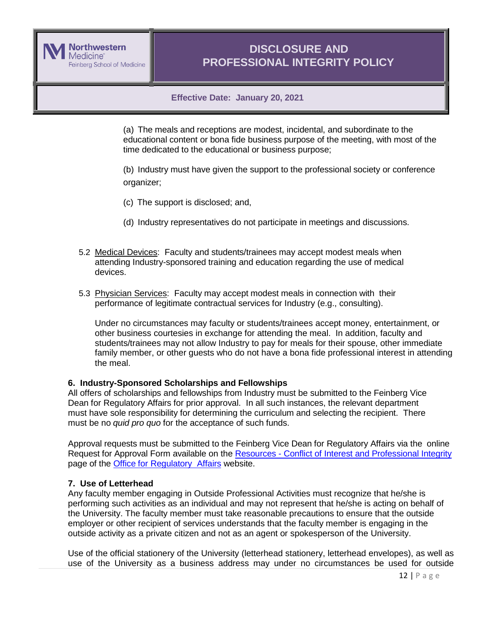

## **Effective Date: January 20, 2021**

(a) The meals and receptions are modest, incidental, and subordinate to the educational content or bona fide business purpose of the meeting, with most of the time dedicated to the educational or business purpose;

(b) Industry must have given the support to the professional society or conference organizer;

- (c) The support is disclosed; and,
- (d) Industry representatives do not participate in meetings and discussions.
- 5.2 Medical Devices: Faculty and students/trainees may accept modest meals when attending Industry-sponsored training and education regarding the use of medical devices.
- 5.3 Physician Services: Faculty may accept modest meals in connection with their performance of legitimate contractual services for Industry (e.g., consulting).

Under no circumstances may faculty or students/trainees accept money, entertainment, or other business courtesies in exchange for attending the meal. In addition, faculty and students/trainees may not allow Industry to pay for meals for their spouse, other immediate family member, or other guests who do not have a bona fide professional interest in attending the meal.

#### **6. Industry-Sponsored Scholarships and Fellowships**

All offers of scholarships and fellowships from Industry must be submitted to the Feinberg Vice Dean for Regulatory Affairs for prior approval. In all such instances, the relevant department must have sole responsibility for determining the curriculum and selecting the recipient. There must be no *quid pro quo* for the acceptance of such funds.

Approval requests must be submitted to the Feinberg Vice Dean for Regulatory Affairs via the online Request for Approval Form available on the Resources - [Conflict of Interest and Professional Integrity](http://www.feinberg.northwestern.edu/compliance/resources/coi-and-prof-integrity/index.html) page of the Office for [Regulatory](http://www.feinberg.northwestern.edu/compliance/index.html) Affairs website.

## **7. Use of Letterhead**

Any faculty member engaging in Outside Professional Activities must recognize that he/she is performing such activities as an individual and may not represent that he/she is acting on behalf of the University. The faculty member must take reasonable precautions to ensure that the outside employer or other recipient of services understands that the faculty member is engaging in the outside activity as a private citizen and not as an agent or spokesperson of the University.

Use of the official stationery of the University (letterhead stationery, letterhead envelopes), as well as use of the University as a business address may under no circumstances be used for outside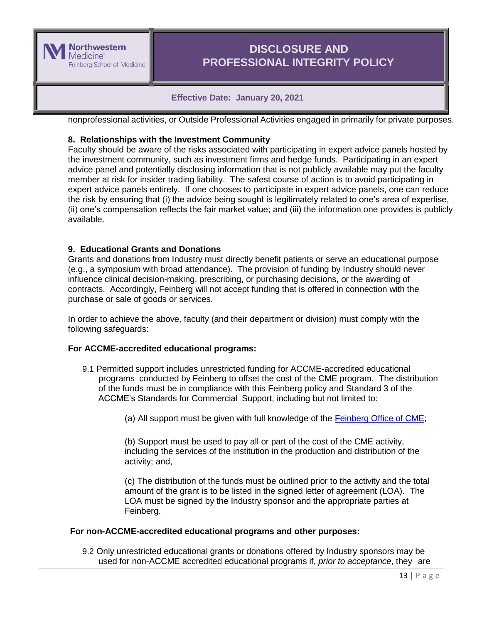

## **Effective Date: January 20, 2021**

nonprofessional activities, or Outside Professional Activities engaged in primarily for private purposes.

## **8. Relationships with the Investment Community**

Faculty should be aware of the risks associated with participating in expert advice panels hosted by the investment community, such as investment firms and hedge funds. Participating in an expert advice panel and potentially disclosing information that is not publicly available may put the faculty member at risk for insider trading liability. The safest course of action is to avoid participating in expert advice panels entirely. If one chooses to participate in expert advice panels, one can reduce the risk by ensuring that (i) the advice being sought is legitimately related to one's area of expertise, (ii) one's compensation reflects the fair market value; and (iii) the information one provides is publicly available.

## **9. Educational Grants and Donations**

Grants and donations from Industry must directly benefit patients or serve an educational purpose (e.g., a symposium with broad attendance). The provision of funding by Industry should never influence clinical decision-making, prescribing, or purchasing decisions, or the awarding of contracts. Accordingly, Feinberg will not accept funding that is offered in connection with the purchase or sale of goods or services.

In order to achieve the above, faculty (and their department or division) must comply with the following safeguards:

## **For ACCME-accredited educational programs:**

- 9.1 Permitted support includes unrestricted funding for ACCME-accredited educational programs conducted by Feinberg to offset the cost of the CME program. The distribution of the funds must be in compliance with this Feinberg policy and Standard 3 of the ACCME's Standards for Commercial Support, including but not limited to:
	- (a) All support must be given with full knowledge of the [Feinberg](http://www.cme.northwestern.edu/) Office of CME;

(b) Support must be used to pay all or part of the cost of the CME activity, including the services of the institution in the production and distribution of the activity; and,

(c) The distribution of the funds must be outlined prior to the activity and the total amount of the grant is to be listed in the signed letter of agreement (LOA). The LOA must be signed by the Industry sponsor and the appropriate parties at Feinberg.

#### **For non-ACCME-accredited educational programs and other purposes:**

9.2 Only unrestricted educational grants or donations offered by Industry sponsors may be used for non-ACCME accredited educational programs if, *prior to acceptance*, they are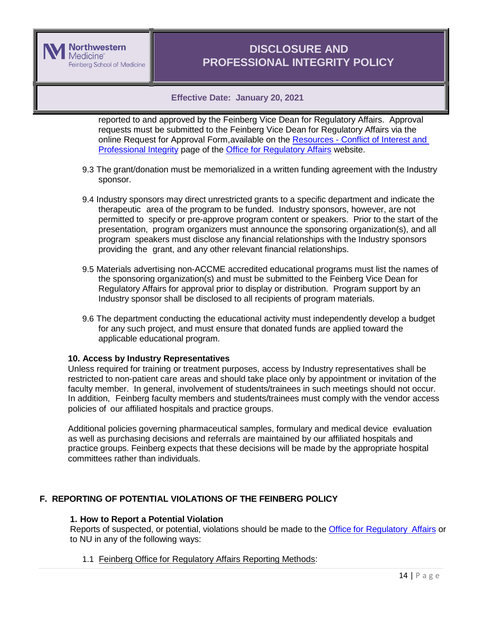

## **Effective Date: January 20, 2021**

reported to and approved by the Feinberg Vice Dean for Regulatory Affairs. Approval requests must be submitted to the Feinberg Vice Dean for Regulatory Affairs via the online Request for Approval Form,available on the Resources - [Conflict of Interest and](http://www.feinberg.northwestern.edu/compliance/resources/coi-and-prof-integrity/index.html)  [Professional Integrity](http://www.feinberg.northwestern.edu/compliance/resources/coi-and-prof-integrity/index.html) page of the [Office for Regulatory Affairs](http://www.feinberg.northwestern.edu/compliance/index.html) website.

- 9.3 The grant/donation must be memorialized in a written funding agreement with the Industry sponsor.
- 9.4 Industry sponsors may direct unrestricted grants to a specific department and indicate the therapeutic area of the program to be funded. Industry sponsors, however, are not permitted to specify or pre-approve program content or speakers. Prior to the start of the presentation, program organizers must announce the sponsoring organization(s), and all program speakers must disclose any financial relationships with the Industry sponsors providing the grant, and any other relevant financial relationships.
- 9.5 Materials advertising non-ACCME accredited educational programs must list the names of the sponsoring organization(s) and must be submitted to the Feinberg Vice Dean for Regulatory Affairs for approval prior to display or distribution. Program support by an Industry sponsor shall be disclosed to all recipients of program materials.
- 9.6 The department conducting the educational activity must independently develop a budget for any such project, and must ensure that donated funds are applied toward the applicable educational program.

## **10. Access by Industry Representatives**

Unless required for training or treatment purposes, access by Industry representatives shall be restricted to non-patient care areas and should take place only by appointment or invitation of the faculty member. In general, involvement of students/trainees in such meetings should not occur. In addition, Feinberg faculty members and students/trainees must comply with the vendor access policies of our affiliated hospitals and practice groups.

Additional policies governing pharmaceutical samples, formulary and medical device evaluation as well as purchasing decisions and referrals are maintained by our affiliated hospitals and practice groups. Feinberg expects that these decisions will be made by the appropriate hospital committees rather than individuals.

## <span id="page-13-0"></span>**F. REPORTING OF POTENTIAL VIOLATIONS OF THE FEINBERG POLICY**

#### **1. How to Report a Potential Violation**

Reports of suspected, or potential, violations should be made to the Office for [Regulatory](http://www.feinberg.northwestern.edu/compliance/contact/index.html) Affairs or to NU in any of the following ways:

#### 1.1 Feinberg Office for Regulatory Affairs Reporting Methods: